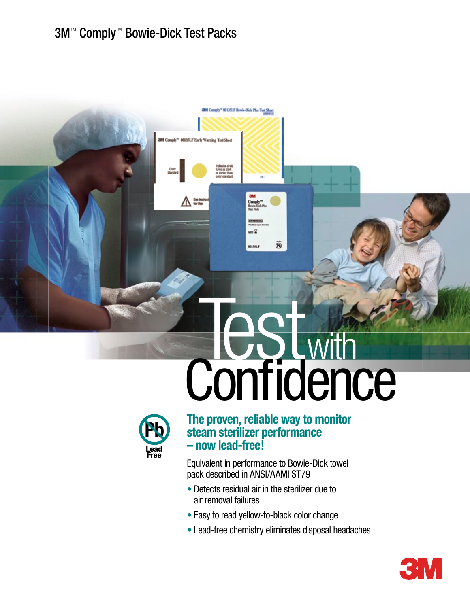# 3M™ Comply™ Bowie-Dick Test Packs

# **Confidence**



**The proven, reliable way to monitor steam sterilizer performance – now lead-free!**

**OM** Comply<sup>10</sup> 001351.F Bowle-Dick Plus Test Sheet

Indicator circle<br>fums as dark<br>or darker than<br>color standard

00035LF Early Warning Test St

 $\mathbb{V}_{\mathbb{R}^m}$ 

Equivalent in performance to Bowie-Dick towel pack described in ANSI/AAMI ST79

- Detects residual air in the sterilizer due to air removal failures
- Easy to read yellow-to-black color change
- Lead-free chemistry eliminates disposal headaches

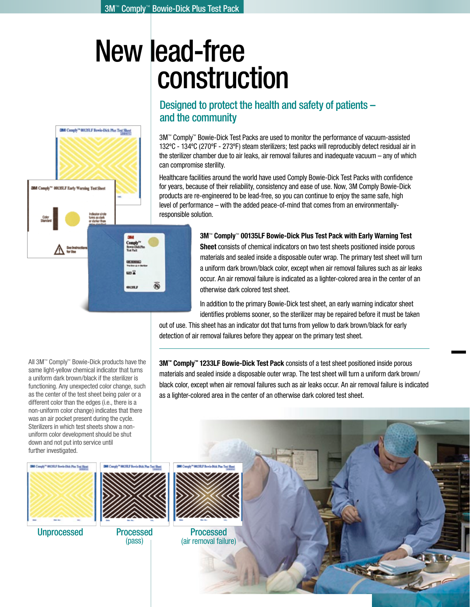# New lead-free construction



# Designed to protect the health and safety of patients – and the community

3M™ Comply™ Bowie-Dick Test Packs are used to monitor the performance of vacuum-assisted 132ºC - 134ºC (270ºF - 273ºF) steam sterilizers; test packs will reproducibly detect residual air in the sterilizer chamber due to air leaks, air removal failures and inadequate vacuum – any of which can compromise sterility.

Healthcare facilities around the world have used Comply Bowie-Dick Test Packs with confidence for years, because of their reliability, consistency and ease of use. Now, 3M Comply Bowie-Dick products are re-engineered to be lead-free, so you can continue to enjoy the same safe, high level of performance – with the added peace-of-mind that comes from an environmentallyresponsible solution.

## **3M**™ **Comply**™ **00135LF Bowie-Dick Plus Test Pack with Early Warning Test**

**Sheet** consists of chemical indicators on two test sheets positioned inside porous materials and sealed inside a disposable outer wrap. The primary test sheet will turn a uniform dark brown/black color, except when air removal failures such as air leaks occur. An air removal failure is indicated as a lighter-colored area in the center of an otherwise dark colored test sheet.

In addition to the primary Bowie-Dick test sheet, an early warning indicator sheet identifies problems sooner, so the sterilizer may be repaired before it must be taken

– same trusted

out of use. This sheet has an indicator dot that turns from yellow to dark brown/black for early detection of air removal failures before they appear on the primary test sheet.

All 3M™ Comply™ Bowie-Dick products have the same light-yellow chemical indicator that turns a uniform dark brown/black if the sterilizer is functioning. Any unexpected color change, such as the center of the test sheet being paler or a different color than the edges (i.e., there is a non-uniform color change) indicates that there was an air pocket present during the cycle. Sterilizers in which test sheets show a nonuniform color development should be shut down and not put into service until further investigated.

**3M™ Comply™ 1233LF Bowie-Dick Test Pack** consists of a test sheet positioned inside porous materials and sealed inside a disposable outer wrap. The test sheet will turn a uniform dark brown/ black color, except when air removal failures such as air leaks occur. An air removal failure is indicated as a lighter-colored area in the center of an otherwise dark colored test sheet.





Processed (pass)

Unprocessed Processed Processed (air removal failure)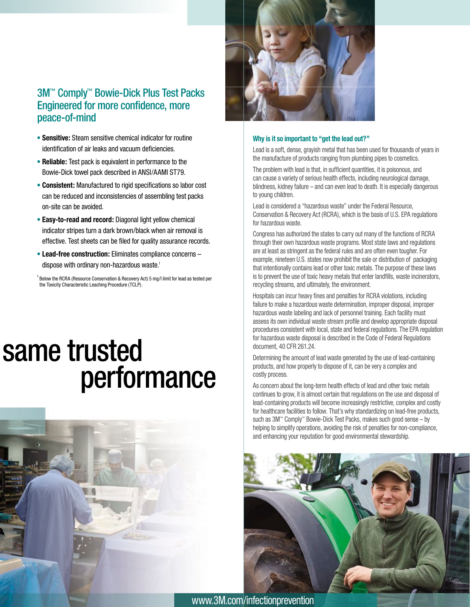# 3M™ Comply™ Bowie-Dick Plus Test Packs Engineered for more confidence, more peace-of-mind

- **Sensitive:** Steam sensitive chemical indicator for routine identification of air leaks and vacuum deficiencies.
- **Reliable:** Test pack is equivalent in performance to the Bowie-Dick towel pack described in ANSI/AAMI ST79.
- **Consistent:** Manufactured to rigid specifications so labor cost can be reduced and inconsistencies of assembling test packs on-site can be avoided.
- **Easy-to-read and record:** Diagonal light yellow chemical indicator stripes turn a dark brown/black when air removal is effective. Test sheets can be filed for quality assurance records.
- **Lead-free construction:** Eliminates compliance concerns dispose with ordinary non-hazardous waste.<sup>1</sup>

 $^{\text{1}}$  Below the RCRA (Resource Conservation & Recovery Act) 5 mg/l limit for lead as tested per the Toxicity Characteristic Leaching Procedure (TCLP).

# same trusted performance





### **Why is it so important to "get the lead out?"**

Lead is a soft, dense, grayish metal that has been used for thousands of years in the manufacture of products ranging from plumbing pipes to cosmetics.

The problem with lead is that, in sufficient quantities, it is poisonous, and can cause a variety of serious health effects, including neurological damage, blindness, kidney failure – and can even lead to death. It is especially dangerous to young children.

Lead is considered a "hazardous waste" under the Federal Resource, Conservation & Recovery Act (RCRA), which is the basis of U.S. EPA regulations for hazardous waste.

Congress has authorized the states to carry out many of the functions of RCRA through their own hazardous waste programs. Most state laws and regulations are at least as stringent as the federal rules and are often even tougher. For example, nineteen U.S. states now prohibit the sale or distribution of packaging that intentionally contains lead or other toxic metals. The purpose of these laws is to prevent the use of toxic heavy metals that enter landfills, waste incinerators, recycling streams, and ultimately, the environment.

Hospitals can incur heavy fines and penalties for RCRA violations, including failure to make a hazardous waste determination, improper disposal, improper hazardous waste labeling and lack of personnel training. Each facility must assess its own individual waste stream profile and develop appropriate disposal procedures consistent with local, state and federal regulations. The EPA regulation for hazardous waste disposal is described in the Code of Federal Regulations document, 40 CFR 261.24.

Determining the amount of lead waste generated by the use of lead-containing products, and how properly to dispose of it, can be very a complex and costly process.

As concern about the long-term health effects of lead and other toxic metals continues to grow, it is almost certain that regulations on the use and disposal of lead-containing products will become increasingly restrictive, complex and costly for healthcare facilities to follow. That's why standardizing on lead-free products, such as 3M™ Comply™ Bowie-Dick Test Packs, makes such good sense – by helping to simplify operations, avoiding the risk of penalties for non-compliance, and enhancing your reputation for good environmental stewardship.



www.3M.com/infectionprevention